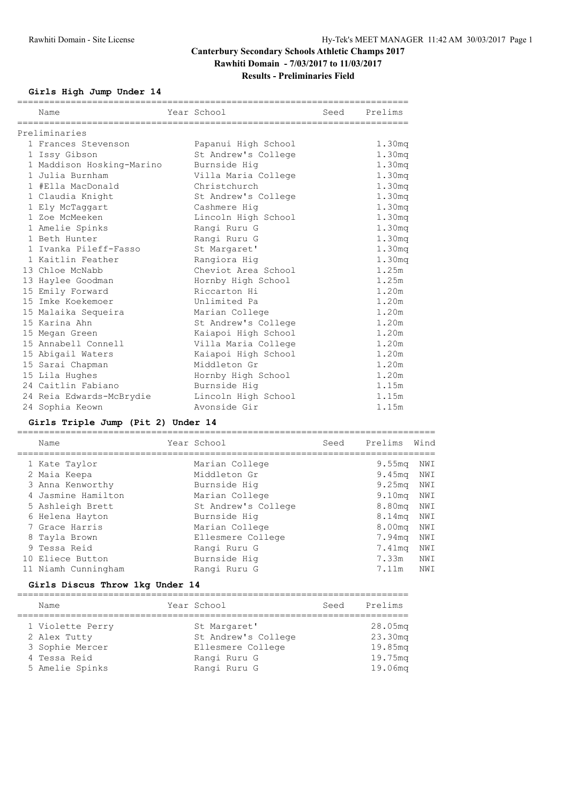### **Girls High Jump Under 14**

| Name                      | Year School         | Seed | Prelims            |
|---------------------------|---------------------|------|--------------------|
| Preliminaries             |                     |      |                    |
| 1 Frances Stevenson       | Papanui High School |      | 1.30 <sub>mq</sub> |
| 1 Issy Gibson             | St Andrew's College |      | 1.30 <sub>mq</sub> |
| 1 Maddison Hosking-Marino | Burnside Hig        |      | 1.30 <sub>mq</sub> |
| 1 Julia Burnham           | Villa Maria College |      | 1.30 <sub>mq</sub> |
| 1 #Ella MacDonald         | Christchurch        |      | 1.30 <sub>mq</sub> |
| 1 Claudia Knight          | St Andrew's College |      | 1.30 <sub>mq</sub> |
| 1 Ely McTaggart           | Cashmere Hig        |      | 1.30 <sub>mq</sub> |
| 1 Zoe McMeeken            | Lincoln High School |      | 1.30 <sub>mq</sub> |
| 1 Amelie Spinks           | Rangi Ruru G        |      | 1.30 <sub>mq</sub> |
| 1 Beth Hunter             | Rangi Ruru G        |      | 1.30 <sub>mq</sub> |
| 1 Ivanka Pileff-Fasso     | St Margaret'        |      | 1.30 <sub>mq</sub> |
| 1 Kaitlin Feather         | Rangiora Hig        |      | 1.30 <sub>mq</sub> |
| 13 Chloe McNabb           | Cheviot Area School |      | 1.25m              |
| 13 Haylee Goodman         | Hornby High School  |      | 1.25m              |
| 15 Emily Forward          | Riccarton Hi        |      | 1.20m              |
| 15 Imke Koekemoer         | Unlimited Pa        |      | 1.20m              |
| 15 Malaika Sequeira       | Marian College      |      | 1.20m              |
| 15 Karina Ahn             | St Andrew's College |      | 1.20m              |
| 15 Megan Green            | Kaiapoi High School |      | 1.20m              |
| 15 Annabell Connell       | Villa Maria College |      | 1.20m              |
| 15 Abigail Waters         | Kaiapoi High School |      | 1.20m              |
| 15 Sarai Chapman          | Middleton Gr        |      | 1.20m              |
| 15 Lila Hughes            | Hornby High School  |      | 1.20m              |
| 24 Caitlin Fabiano        | Burnside Hig        |      | 1.15m              |
| 24 Reia Edwards-McBrydie  | Lincoln High School |      | 1.15m              |
| 24 Sophia Keown           | Avonside Gir        |      | 1.15m              |

### **Girls Triple Jump (Pit 2) Under 14**

==============================================================================

| Name                | Year School         | Seed | Prelims            | Wind |
|---------------------|---------------------|------|--------------------|------|
| 1 Kate Taylor       | Marian College      |      | 9.55 <sub>mq</sub> | NWI  |
| 2 Maia Keepa        | Middleton Gr        |      | 9.45 <sub>mq</sub> | NWI  |
| 3 Anna Kenworthy    | Burnside Hig        |      | 9.25 <sub>mq</sub> | NWI  |
| 4 Jasmine Hamilton  | Marian College      |      | 9.10 <sub>m</sub>  | NWI  |
| 5 Ashleigh Brett    | St Andrew's College |      | 8.80mg             | NWI  |
| 6 Helena Hayton     | Burnside Hig        |      | 8.14 <sub>mq</sub> | NWI  |
| 7 Grace Harris      | Marian College      |      | 8.00 <sub>mq</sub> | NWI  |
| 8 Tayla Brown       | Ellesmere College   |      | 7.94mg             | NWI  |
| 9 Tessa Reid        | Rangi Ruru G        |      | 7.41mg             | NWI  |
| 10 Eliece Button    | Burnside Hig        |      | 7.33m              | NWI  |
| 11 Niamh Cunningham | Rangi Ruru G        |      | 7.11m              | NWI  |
|                     |                     |      |                    |      |

### **Girls Discus Throw 1kg Under 14**

| Name             | Year School         | Seed | Prelims |
|------------------|---------------------|------|---------|
| 1 Violette Perry | St Margaret'        |      | 28.05mg |
| 2 Alex Tutty     | St Andrew's College |      | 23.30mg |
| 3 Sophie Mercer  | Ellesmere College   |      | 19.85mg |
| 4 Tessa Reid     | Rangi Ruru G        |      | 19.75mg |
| 5 Amelie Spinks  | Rangi Ruru G        |      | 19.06mg |
|                  |                     |      |         |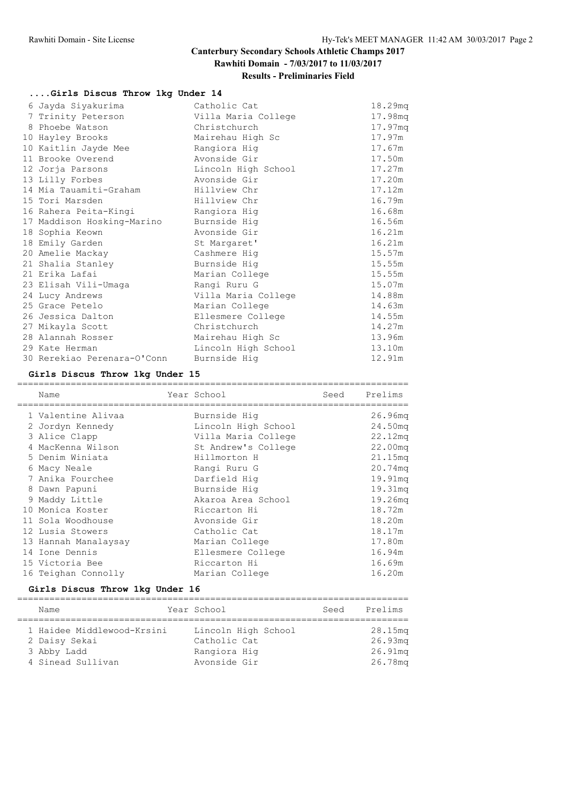### **....Girls Discus Throw 1kg Under 14**

| Catholic Cat        | 18.29mg |
|---------------------|---------|
| Villa Maria College | 17.98mg |
| Christchurch        | 17.97mq |
| Mairehau High Sc    | 17.97m  |
| Rangiora Hig        | 17.67m  |
| Avonside Gir        | 17.50m  |
| Lincoln High School | 17.27m  |
| Avonside Gir        | 17.20m  |
| Hillview Chr        | 17.12m  |
| Hillview Chr        | 16.79m  |
| Rangiora Hig        | 16.68m  |
| Burnside Hig        | 16.56m  |
| Avonside Gir        | 16.21m  |
| St Margaret'        | 16.21m  |
| Cashmere Hig        | 15.57m  |
| Burnside Hig        | 15.55m  |
| Marian College      | 15.55m  |
| Rangi Ruru G        | 15.07m  |
| Villa Maria College | 14.88m  |
| Marian College      | 14.63m  |
| Ellesmere College   | 14.55m  |
| Christchurch        | 14.27m  |
| Mairehau High Sc    | 13.96m  |
| Lincoln High School | 13.10m  |
| Burnside Hig        | 12.91m  |
|                     |         |

### **Girls Discus Throw 1kg Under 15**

|  | Name                 | Year School         | Seed | Prelims             |
|--|----------------------|---------------------|------|---------------------|
|  | 1 Valentine Alivaa   | Burnside Hig        |      | 26.96 <sub>mq</sub> |
|  | 2 Jordyn Kennedy     | Lincoln High School |      | 24.50mg             |
|  | 3 Alice Clapp        | Villa Maria College |      | 22.12mq             |
|  | 4 MacKenna Wilson    | St Andrew's College |      | 22.00mg             |
|  | 5 Denim Winiata      | Hillmorton H        |      | 21.15mq             |
|  | 6 Macy Neale         | Rangi Ruru G        |      | 20.74mg             |
|  | 7 Anika Fourchee     | Darfield Hig        |      | 19.91mq             |
|  | 8 Dawn Papuni        | Burnside Hig        |      | 19.31mq             |
|  | 9 Maddy Little       | Akaroa Area School  |      | 19.26mg             |
|  | 10 Monica Koster     | Riccarton Hi        |      | 18.72m              |
|  | 11 Sola Woodhouse    | Avonside Gir        |      | 18.20m              |
|  | 12 Lusia Stowers     | Catholic Cat        |      | 18.17m              |
|  | 13 Hannah Manalaysay | Marian College      |      | 17.80m              |
|  | 14 Ione Dennis       | Ellesmere College   |      | 16.94m              |
|  | 15 Victoria Bee      | Riccarton Hi        |      | 16.69m              |
|  | 16 Teighan Connolly  | Marian College      |      | 16.20m              |
|  |                      |                     |      |                     |

### **Girls Discus Throw 1kg Under 16**

=========================================================================

|  | Name                       | Year School         | Seed | Prelims    |
|--|----------------------------|---------------------|------|------------|
|  | 1 Haidee Middlewood-Krsini | Lincoln High School |      | 28.15mg    |
|  | 2 Daisy Sekai              | Catholic Cat        |      | $26.93$ mg |
|  | 3 Abby Ladd                | Rangiora Hig        |      | 26.91mq    |
|  | 4 Sinead Sullivan          | Avonside Gir        |      | 26.78mg    |
|  |                            |                     |      |            |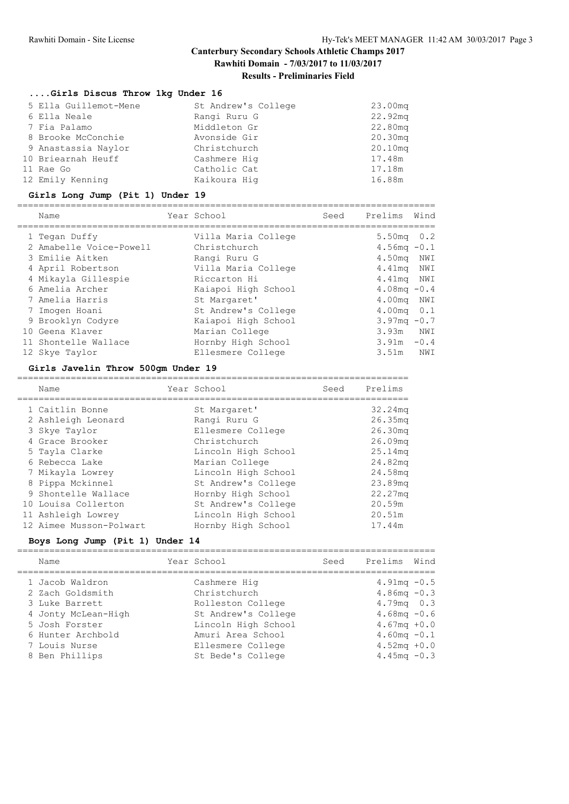### **....Girls Discus Throw 1kg Under 16**

| 5 Ella Guillemot-Mene | St Andrew's College | 23.00 <sub>mq</sub> |
|-----------------------|---------------------|---------------------|
| 6 Ella Neale          | Rangi Ruru G        | 22.92mq             |
| 7 Fia Palamo          | Middleton Gr        | 22.80mg             |
| 8 Brooke McConchie    | Avonside Gir        | 20.30mg             |
| 9 Anastassia Naylor   | Christchurch        | 20.10mg             |
| 10 Briearnah Heuff    | Cashmere Hig        | 17.48m              |
| 11 Rae Go             | Catholic Cat        | 17.18m              |
| 12 Emily Kenning      | Kaikoura Hig        | 16.88m              |

#### **Girls Long Jump (Pit 1) Under 19**

==============================================================================

| Name                    | Year School         | Seed | Prelims                | Wind |
|-------------------------|---------------------|------|------------------------|------|
| 1 Tegan Duffy           | Villa Maria College |      | $5.50mg$ 0.2           |      |
| 2 Amabelle Voice-Powell | Christchurch        |      | $4.56 \text{mq} - 0.1$ |      |
| 3 Emilie Aitken         | Rangi Ruru G        |      | 4.50mg NWI             |      |
| 4 April Robertson       | Villa Maria College |      | 4.41mg NWI             |      |
| 4 Mikayla Gillespie     | Riccarton Hi        |      | 4.41mg NWI             |      |
| 6 Amelia Archer         | Kaiapoi High School |      | 4.08mg $-0.4$          |      |
| 7 Amelia Harris         | St Margaret'        |      | 4.00mg NWI             |      |
| 7 Imogen Hoani          | St Andrew's College |      | $4.00 \text{mq}$ 0.1   |      |
| 9 Brooklyn Codyre       | Kaiapoi High School |      | $3.97mg - 0.7$         |      |
| 10 Geena Klaver         | Marian College      |      | 3.93m                  | NWI  |
| 11 Shontelle Wallace    | Hornby High School  |      | $3.91m - 0.4$          |      |
| 12 Skye Taylor          | Ellesmere College   |      | 3.51m                  | NWI  |

### **Girls Javelin Throw 500gm Under 19**

=========================================================================

| Name |                                                                                                                                                                                                                                                      |                     | Seed        | Prelims             |
|------|------------------------------------------------------------------------------------------------------------------------------------------------------------------------------------------------------------------------------------------------------|---------------------|-------------|---------------------|
|      |                                                                                                                                                                                                                                                      | St Margaret'        |             | 32.24mg             |
|      |                                                                                                                                                                                                                                                      | Rangi Ruru G        |             | 26.35 <sub>mq</sub> |
|      |                                                                                                                                                                                                                                                      | Ellesmere College   |             | 26.30 <sub>mq</sub> |
|      |                                                                                                                                                                                                                                                      | Christchurch        |             | 26.09 <sub>mq</sub> |
|      |                                                                                                                                                                                                                                                      | Lincoln High School |             | 25.14 <sub>mq</sub> |
|      |                                                                                                                                                                                                                                                      | Marian College      |             | 24.82mg             |
|      |                                                                                                                                                                                                                                                      | Lincoln High School |             | 24.58mg             |
|      |                                                                                                                                                                                                                                                      | St Andrew's College |             | 23.89mg             |
|      |                                                                                                                                                                                                                                                      | Hornby High School  |             | 22.27mg             |
|      |                                                                                                                                                                                                                                                      | St Andrew's College |             | 20.59m              |
|      |                                                                                                                                                                                                                                                      | Lincoln High School |             | 20.51m              |
|      |                                                                                                                                                                                                                                                      | Hornby High School  |             | 17.44m              |
|      | 1 Caitlin Bonne<br>2 Ashleigh Leonard<br>3 Skye Taylor<br>4 Grace Brooker<br>5 Tayla Clarke<br>6 Rebecca Lake<br>7 Mikayla Lowrey<br>8 Pippa Mckinnel<br>9 Shontelle Wallace<br>10 Louisa Collerton<br>11 Ashleigh Lowrey<br>12 Aimee Musson-Polwart |                     | Year School |                     |

### **Boys Long Jump (Pit 1) Under 14**

| Name                | Year School         | Seed | Prelims                | Wind |
|---------------------|---------------------|------|------------------------|------|
| 1 Jacob Waldron     | Cashmere Hig        |      | $4.91mg - 0.5$         |      |
| 2 Zach Goldsmith    | Christchurch        |      | $4.86mg - 0.3$         |      |
| 3 Luke Barrett      | Rolleston College   |      | $4.79mg + 0.3$         |      |
| 4 Jonty McLean-High | St Andrew's College |      | $4.68$ mg $-0.6$       |      |
| 5 Josh Forster      | Lincoln High School |      | $4.67 \text{mq} + 0.0$ |      |
| 6 Hunter Archbold   | Amuri Area School   |      | $4.60 \text{mq} - 0.1$ |      |
| 7 Louis Nurse       | Ellesmere College   |      | $4.52mg + 0.0$         |      |
| 8 Ben Phillips      | St Bede's College   |      | 4.45mg $-0.3$          |      |
|                     |                     |      |                        |      |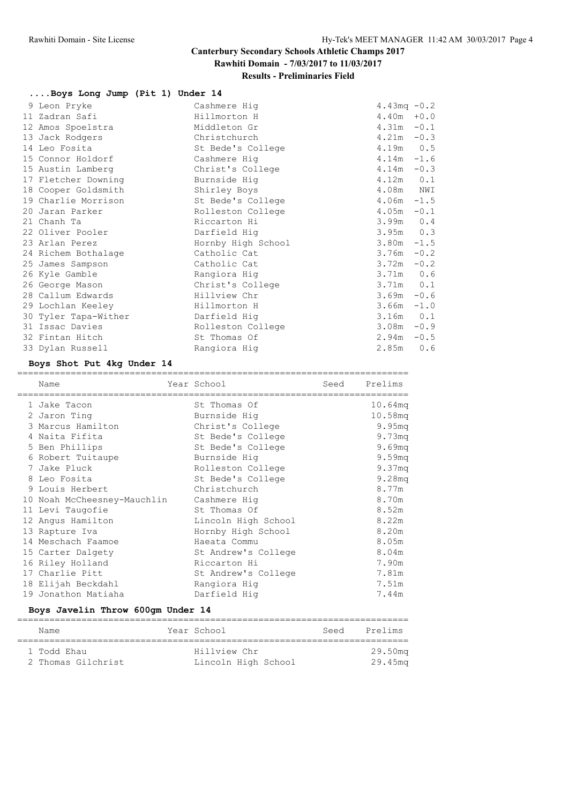### **Results - Preliminaries Field**

### **....Boys Long Jump (Pit 1) Under 14**

| 9 Leon Pryke         | Cashmere Hig       | 4.43 $mq - 0.2$ |     |
|----------------------|--------------------|-----------------|-----|
| 11 Zadran Safi       | Hillmorton H       | $4.40m + 0.0$   |     |
| 12 Amos Spoelstra    | Middleton Gr       | $4.31m - 0.1$   |     |
| 13 Jack Rodgers      | Christchurch       | $4.21m - 0.3$   |     |
| 14 Leo Fosita        | St Bede's College  | $4.19m$ 0.5     |     |
| 15 Connor Holdorf    | Cashmere Hig       | $4.14m - 1.6$   |     |
| 15 Austin Lamberg    | Christ's College   | $4.14m - 0.3$   |     |
| 17 Fletcher Downing  | Burnside Hig       | $4.12m$ $0.1$   |     |
| 18 Cooper Goldsmith  | Shirley Boys       | 4.08m NWI       |     |
| 19 Charlie Morrison  | St Bede's College  | $4.06m - 1.5$   |     |
| 20 Jaran Parker      | Rolleston College  | $4.05m - 0.1$   |     |
| 21 Chanh Ta          | Riccarton Hi       | $3.99m$ 0.4     |     |
| 22 Oliver Pooler     | Darfield Hig       | $3.95m$ 0.3     |     |
| 23 Arlan Perez       | Hornby High School | $3.80m - 1.5$   |     |
| 24 Richem Bothalage  | Catholic Cat       | $3.76m - 0.2$   |     |
| 25 James Sampson     | Catholic Cat       | $3.72m - 0.2$   |     |
| 26 Kyle Gamble       | Rangiora Hig       | $3.71m$ 0.6     |     |
| 26 George Mason      | Christ's College   | $3.71m$ 0.1     |     |
| 28 Callum Edwards    | Hillview Chr       | $3.69m - 0.6$   |     |
| 29 Lochlan Keeley    | Hillmorton H       | $3.66m - 1.0$   |     |
| 30 Tyler Tapa-Wither | Darfield Hig       | $3.16m$ 0.1     |     |
| 31 Issac Davies      | Rolleston College  | $3.08m - 0.9$   |     |
| 32 Fintan Hitch      | St Thomas Of       | $2.94m - 0.5$   |     |
| 33 Dylan Russell     | Rangiora Hig       | 2.85m           | 0.6 |

### **Boys Shot Put 4kg Under 14**

| Name                        | Year School<br>============================== | Seed | Prelims |
|-----------------------------|-----------------------------------------------|------|---------|
| 1 Jake Tacon                | St Thomas Of                                  |      | 10.64mq |
| 2 Jaron Ting                | Burnside Hig                                  |      | 10.58mg |
| 3 Marcus Hamilton           | Christ's College                              |      | 9.95mg  |
| 4 Naita Fifita              | St Bede's College                             |      | 9.73mq  |
| 5 Ben Phillips              | St Bede's College                             |      | 9.69mg  |
| 6 Robert Tuitaupe           | Burnside Hig                                  |      | 9.59mg  |
| 7 Jake Pluck                | Rolleston College                             |      | 9.37mg  |
| 8 Leo Fosita                | St Bede's College                             |      | 9.28mg  |
| 9 Louis Herbert             | Christchurch                                  |      | 8.77m   |
| 10 Noah McCheesney-Mauchlin | Cashmere Hig                                  |      | 8.70m   |
| 11 Levi Taugofie            | St Thomas Of                                  |      | 8.52m   |
| 12 Angus Hamilton           | Lincoln High School                           |      | 8.22m   |
| 13 Rapture Iva              | Hornby High School                            |      | 8.20m   |
| 14 Meschach Faamoe          | Haeata Commu                                  |      | 8.05m   |
| 15 Carter Dalgety           | St Andrew's College                           |      | 8.04m   |
| 16 Riley Holland            | Riccarton Hi                                  |      | 7.90m   |
| 17 Charlie Pitt             | St Andrew's College                           |      | 7.81m   |
| 18 Elijah Beckdahl          | Rangiora Hig                                  |      | 7.51m   |
| 19 Jonathon Matiaha         | Darfield Hig                                  |      | 7.44m   |

### **Boys Javelin Throw 600gm Under 14**

| Name                              | Year School                         | Seed | Prelims            |
|-----------------------------------|-------------------------------------|------|--------------------|
| 1 Todd Ehau<br>2 Thomas Gilchrist | Hillview Chr<br>Lincoln High School |      | 29.50mg<br>29.45mg |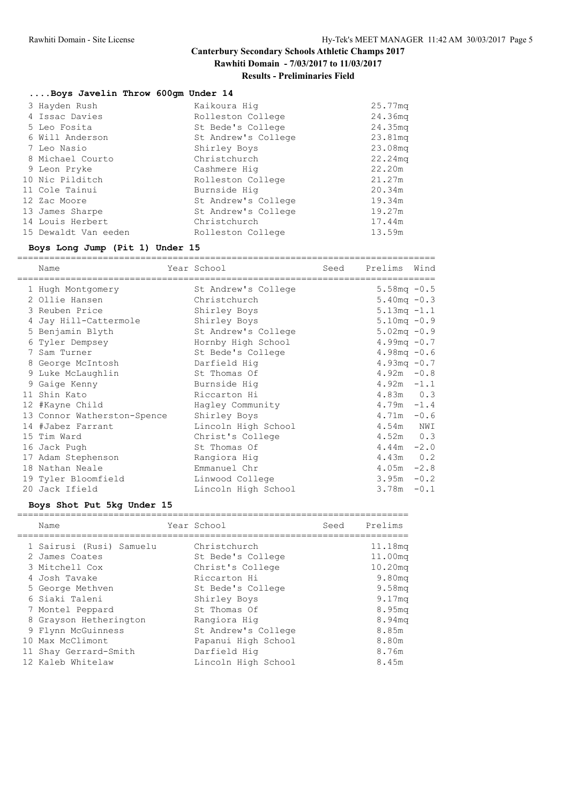### **Results - Preliminaries Field**

#### **....Boys Javelin Throw 600gm Under 14**

| 3 Hayden Rush        | Kaikoura Hig        | 25.77 <sub>mq</sub> |
|----------------------|---------------------|---------------------|
| 4 Issac Davies       | Rolleston College   | 24.36 <sub>mq</sub> |
| 5 Leo Fosita         | St Bede's College   | 24.35mg             |
| 6 Will Anderson      | St Andrew's College | 23.81mg             |
| 7 Leo Nasio          | Shirley Boys        | 23.08mg             |
| 8 Michael Courto     | Christchurch        | 22.24mg             |
| 9 Leon Pryke         | Cashmere Hig        | 22.20m              |
| 10 Nic Pilditch      | Rolleston College   | 21.27m              |
| 11 Cole Tainui       | Burnside Hig        | 20.34m              |
| 12 Zac Moore         | St Andrew's College | 19.34m              |
| 13 James Sharpe      | St Andrew's College | 19.27m              |
| 14 Louis Herbert     | Christchurch        | 17.44m              |
| 15 Dewaldt Van eeden | Rolleston College   | 13.59m              |

### **Boys Long Jump (Pit 1) Under 15**

============================================================================== Name **Seed Prelims** Vear School Seed Prelims Wind ============================================================================== 1 Hugh Montgomery St Andrew's College 5.58mq -0.5 2 Ollie Hansen Christchurch 5.40mq -0.3 3 Reuben Price Shirley Boys 5.13mq -1.1 4 Jay Hill-Cattermole Shirley Boys 5.10mq -0.9 5 Benjamin Blyth St Andrew's College 5.02mq -0.9 6 Tyler Dempsey Hornby High School 4.99mq -0.7 7 Sam Turner St Bede's College 4.98mq -0.6 8 George McIntosh Darfield Hig 4.93mq -0.7 9 Luke McLaughlin St Thomas Of 4.92m -0.8 9 Gaige Kenny Burnside Hig 4.92m  $-1.1$ 11 Shin Kato Riccarton Hi 4.83m 0.3 12 #Kayne Child Hagley Community 1.79m -1.4 13 Connor Watherston-Spence Shirley Boys 64.71m -0.6 14 #Jabez Farrant Lincoln High School 4.54m NWI 15 Tim Ward Christ's College 4.52m 0.3 16 Jack Pugh St Thomas Of  $16 \text{ Jack Pugh}$  -2.0 17 Adam Stephenson Rangiora Hig 4.43m 0.2 18 Nathan Neale Emmanuel Chr 4.05m -2.8 19 Tyler Bloomfield Linwood College 3.95m -0.2 20 Jack Ifield Lincoln High School 3.78m -0.1

#### **Boys Shot Put 5kg Under 15**

|  | Name                     | Year School         | Seed | Prelims            |
|--|--------------------------|---------------------|------|--------------------|
|  | 1 Sairusi (Rusi) Samuelu | Christchurch        |      | 11.18mg            |
|  | 2 James Coates           | St Bede's College   |      | 11.00mg            |
|  | 3 Mitchell Cox           | Christ's College    |      | $10.20$ mq         |
|  | 4 Josh Tavake            | Riccarton Hi        |      | 9.80 <sub>mq</sub> |
|  | 5 George Methven         | St Bede's College   |      | 9.58 <sub>mq</sub> |
|  | 6 Siaki Taleni           | Shirley Boys        |      | 9.17 <sub>mq</sub> |
|  | 7 Montel Peppard         | St Thomas Of        |      | 8.95mg             |
|  | 8 Grayson Hetherington   | Rangiora Hig        |      | 8.94mq             |
|  | 9 Flynn McGuinness       | St Andrew's College |      | 8.85m              |
|  | 10 Max McClimont         | Papanui High School |      | 8.80m              |
|  | 11 Shay Gerrard-Smith    | Darfield Hig        |      | 8.76m              |
|  | 12 Kaleb Whitelaw        | Lincoln High School |      | 8.45m              |
|  |                          |                     |      |                    |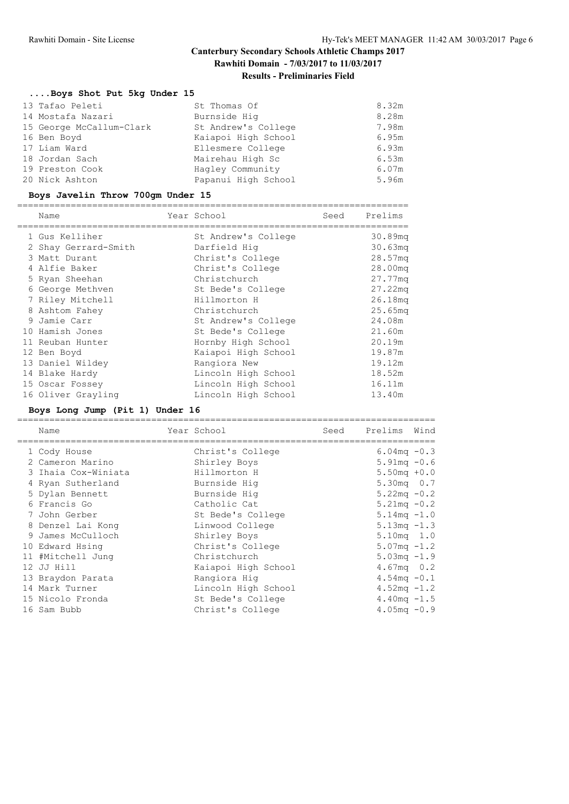### **Results - Preliminaries Field**

### **....Boys Shot Put 5kg Under 15**

| 13 Tafao Peleti          | St Thomas Of        | 8.32m |
|--------------------------|---------------------|-------|
| 14 Mostafa Nazari        | Burnside Hig        | 8.28m |
| 15 George McCallum-Clark | St Andrew's College | 7.98m |
| 16 Ben Boyd              | Kaiapoi High School | 6.95m |
| 17 Liam Ward             | Ellesmere College   | 6.93m |
| 18 Jordan Sach           | Mairehau High Sc    | 6.53m |
| 19 Preston Cook          | Hagley Community    | 6.07m |
| 20 Nick Ashton           | Papanui High School | 5.96m |
|                          |                     |       |

### **Boys Javelin Throw 700gm Under 15**

|  | Name                 | Year School         | Seed | Prelims             |
|--|----------------------|---------------------|------|---------------------|
|  | 1 Gus Kelliher       | St Andrew's College |      | 30.89mg             |
|  | 2 Shay Gerrard-Smith | Darfield Hig        |      | 30.63 <sub>mq</sub> |
|  | 3 Matt Durant        | Christ's College    |      | 28.57 <sub>mq</sub> |
|  | 4 Alfie Baker        | Christ's College    |      | 28.00mg             |
|  | 5 Ryan Sheehan       | Christchurch        |      | 27.77mg             |
|  | 6 George Methven     | St Bede's College   |      | 27.22mq             |
|  | 7 Riley Mitchell     | Hillmorton H        |      | 26.18mg             |
|  | 8 Ashtom Fahey       | Christchurch        |      | 25.65 <sub>mq</sub> |
|  | 9 Jamie Carr         | St Andrew's College |      | 24.08m              |
|  | 10 Hamish Jones      | St Bede's College   |      | 21.60m              |
|  | 11 Reuban Hunter     | Hornby High School  |      | 20.19m              |
|  | 12 Ben Boyd          | Kaiapoi High School |      | 19.87m              |
|  | 13 Daniel Wildey     | Rangiora New        |      | 19.12m              |
|  | 14 Blake Hardy       | Lincoln High School |      | 18.52m              |
|  | 15 Oscar Fossey      | Lincoln High School |      | 16.11m              |
|  | 16 Oliver Grayling   | Lincoln High School |      | 13.40m              |
|  |                      |                     |      |                     |

### **Boys Long Jump (Pit 1) Under 16**

| Name                | Year School         | Seed | Prelims                | Wind |
|---------------------|---------------------|------|------------------------|------|
| 1 Cody House        | Christ's College    |      | $6.04 \text{mq} - 0.3$ |      |
| 2 Cameron Marino    | Shirley Boys        |      | $5.91mg - 0.6$         |      |
| 3 Ihaia Cox-Winiata | Hillmorton H        |      | $5.50mg + 0.0$         |      |
| 4 Ryan Sutherland   | Burnside Hig        |      | $5.30 \text{mq}$ 0.7   |      |
| 5 Dylan Bennett     | Burnside Hig        |      | $5.22 \text{mq} - 0.2$ |      |
| 6 Francis Go        | Catholic Cat        |      | $5.21 \text{mq} - 0.2$ |      |
| 7 John Gerber       | St Bede's College   |      | $5.14 \text{mg} - 1.0$ |      |
| 8 Denzel Lai Kong   | Linwood College     |      | $5.13mg - 1.3$         |      |
| 9 James McCulloch   | Shirley Boys        |      | $5.10mg$ 1.0           |      |
| 10 Edward Hsing     | Christ's College    |      | $5.07 \text{mq} - 1.2$ |      |
| 11 #Mitchell Jung   | Christchurch        |      | $5.03mg - 1.9$         |      |
| 12 JJ Hill          | Kaiapoi High School |      | $4.67mg$ 0.2           |      |
| 13 Braydon Parata   | Rangiora Hig        |      | $4.54mg - 0.1$         |      |
| 14 Mark Turner      | Lincoln High School |      | 4.52mg $-1.2$          |      |
| 15 Nicolo Fronda    | St Bede's College   |      | 4.40mg $-1.5$          |      |
| 16 Sam Bubb         | Christ's College    |      | $4.05 \text{mq} - 0.9$ |      |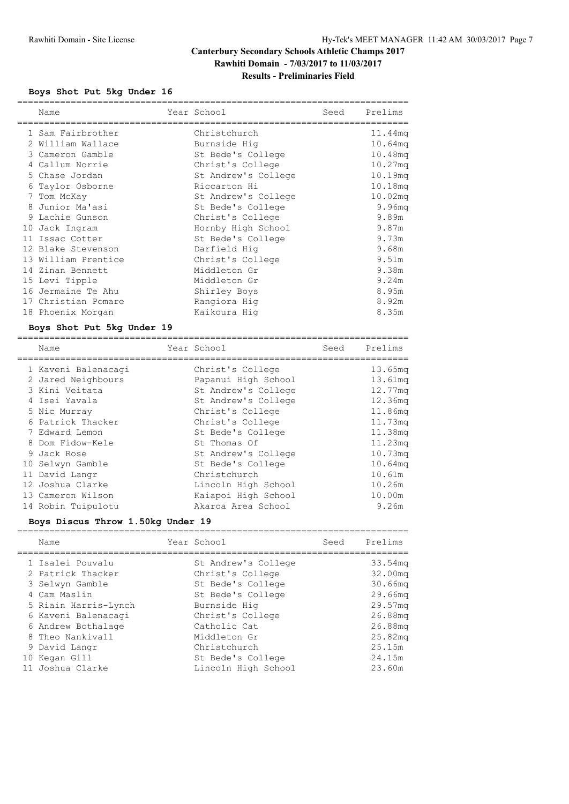=========================================================================

### **Boys Shot Put 5kg Under 16**

| Name                | Year School         | Seed | Prelims            |
|---------------------|---------------------|------|--------------------|
| 1 Sam Fairbrother   | Christchurch        |      | 11.44mg            |
| 2 William Wallace   | Burnside Hig        |      | 10.64mq            |
| 3 Cameron Gamble    | St Bede's College   |      | 10.48mg            |
| 4 Callum Norrie     | Christ's College    |      | 10.27mq            |
| 5 Chase Jordan      | St Andrew's College |      | 10.19mg            |
| 6 Taylor Osborne    | Riccarton Hi        |      | 10.18mq            |
| 7 Tom McKay         | St Andrew's College |      | 10.02mq            |
| 8 Junior Ma'asi     | St Bede's College   |      | 9.96 <sub>mq</sub> |
| 9 Lachie Gunson     | Christ's College    |      | 9.89m              |
| 10 Jack Ingram      | Hornby High School  |      | 9.87m              |
| 11 Issac Cotter     | St Bede's College   |      | 9.73m              |
| 12 Blake Stevenson  | Darfield Hig        |      | 9.68m              |
| 13 William Prentice | Christ's College    |      | 9.51m              |
| 14 Zinan Bennett    | Middleton Gr        |      | 9.38m              |
| 15 Levi Tipple      | Middleton Gr        |      | 9.24m              |
| 16 Jermaine Te Ahu  | Shirley Boys        |      | 8.95m              |
| 17 Christian Pomare | Rangiora Hig        |      | 8.92m              |
| 18 Phoenix Morgan   | Kaikoura Hiq        |      | 8.35m              |
|                     |                     |      |                    |

### **Boys Shot Put 5kg Under 19**

| Name                | Year School         | Seed | Prelims             |
|---------------------|---------------------|------|---------------------|
| 1 Kaveni Balenacagi | Christ's College    |      | 13.65mg             |
| 2 Jared Neighbours  | Papanui High School |      | 13.61mq             |
| 3 Kini Veitata      | St Andrew's College |      | 12.77mq             |
| 4 Isei Yavala       | St Andrew's College |      | 12.36mg             |
| 5 Nic Murray        | Christ's College    |      | 11.86mg             |
| 6 Patrick Thacker   | Christ's College    |      | 11.73mq             |
| 7 Edward Lemon      | St Bede's College   |      | 11.38mg             |
| 8 Dom Fidow-Kele    | St Thomas Of        |      | 11.23mq             |
| 9 Jack Rose         | St Andrew's College |      | $10.73$ mq          |
| 10 Selwyn Gamble    | St Bede's College   |      | 10.64 <sub>mq</sub> |
| 11 David Langr      | Christchurch        |      | 10.61m              |
| 12 Joshua Clarke    | Lincoln High School |      | 10.26m              |
| 13 Cameron Wilson   | Kaiapoi High School |      | 10.00m              |
| 14 Robin Tuipulotu  | Akaroa Area School  |      | 9.26m               |

### **Boys Discus Throw 1.50kg Under 19**

|  | Name                 | Year School         | Seed | Prelims    |
|--|----------------------|---------------------|------|------------|
|  | 1 Isalei Pouvalu     | St Andrew's College |      | 33.54mq    |
|  | 2 Patrick Thacker    | Christ's College    |      | 32.00mg    |
|  | 3 Selwyn Gamble      | St Bede's College   |      | $30.66$ mq |
|  | 4 Cam Maslin         | St Bede's College   |      | 29.66mq    |
|  | 5 Riain Harris-Lynch | Burnside Hig        |      | 29.57mg    |
|  | 6 Kaveni Balenacagi  | Christ's College    |      | 26.88mg    |
|  | 6 Andrew Bothalage   | Catholic Cat        |      | 26.88mq    |
|  | 8 Theo Nankivall     | Middleton Gr        |      | 25.82mg    |
|  | 9 David Langr        | Christchurch        |      | 25.15m     |
|  | 10 Kegan Gill        | St Bede's College   |      | 24.15m     |
|  | 11 Joshua Clarke     | Lincoln High School |      | 23.60m     |
|  |                      |                     |      |            |